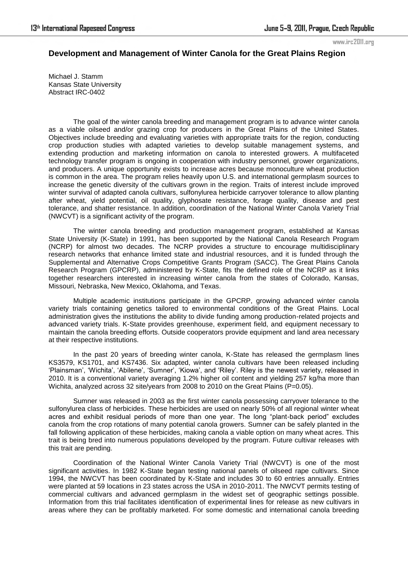www.irc2011.org

## **Development and Management of Winter Canola for the Great Plains Region**

Michael J. Stamm Kansas State University Abstract IRC-0402

The goal of the winter canola breeding and management program is to advance winter canola as a viable oilseed and/or grazing crop for producers in the Great Plains of the United States. Objectives include breeding and evaluating varieties with appropriate traits for the region, conducting crop production studies with adapted varieties to develop suitable management systems, and extending production and marketing information on canola to interested growers. A multifaceted technology transfer program is ongoing in cooperation with industry personnel, grower organizations, and producers. A unique opportunity exists to increase acres because monoculture wheat production is common in the area. The program relies heavily upon U.S. and international germplasm sources to increase the genetic diversity of the cultivars grown in the region. Traits of interest include improved winter survival of adapted canola cultivars, sulfonylurea herbicide carryover tolerance to allow planting after wheat, yield potential, oil quality, glyphosate resistance, forage quality, disease and pest tolerance, and shatter resistance. In addition, coordination of the National Winter Canola Variety Trial (NWCVT) is a significant activity of the program.

The winter canola breeding and production management program, established at Kansas State University (K-State) in 1991, has been supported by the National Canola Research Program (NCRP) for almost two decades. The NCRP provides a structure to encourage multidisciplinary research networks that enhance limited state and industrial resources, and it is funded through the Supplemental and Alternative Crops Competitive Grants Program (SACC). The Great Plains Canola Research Program (GPCRP), administered by K-State, fits the defined role of the NCRP as it links together researchers interested in increasing winter canola from the states of Colorado, Kansas, Missouri, Nebraska, New Mexico, Oklahoma, and Texas.

Multiple academic institutions participate in the GPCRP, growing advanced winter canola variety trials containing genetics tailored to environmental conditions of the Great Plains. Local administration gives the institutions the ability to divide funding among production-related projects and advanced variety trials. K-State provides greenhouse, experiment field, and equipment necessary to maintain the canola breeding efforts. Outside cooperators provide equipment and land area necessary at their respective institutions.

In the past 20 years of breeding winter canola, K-State has released the germplasm lines KS3579, KS1701, and KS7436. Six adapted, winter canola cultivars have been released including ‗Plainsman', ‗Wichita', ‗Abilene', ‗Sumner', ‗Kiowa', and ‗Riley'. Riley is the newest variety, released in 2010. It is a conventional variety averaging 1.2% higher oil content and yielding 257 kg/ha more than Wichita, analyzed across 32 site/years from 2008 to 2010 on the Great Plains (P=0.05).

Sumner was released in 2003 as the first winter canola possessing carryover tolerance to the sulfonylurea class of herbicides. These herbicides are used on nearly 50% of all regional winter wheat acres and exhibit residual periods of more than one year. The long "plant-back period" excludes canola from the crop rotations of many potential canola growers. Sumner can be safely planted in the fall following application of these herbicides, making canola a viable option on many wheat acres. This trait is being bred into numerous populations developed by the program. Future cultivar releases with this trait are pending.

Coordination of the National Winter Canola Variety Trial (NWCVT) is one of the most significant activities. In 1982 K-State began testing national panels of oilseed rape cultivars. Since 1994, the NWCVT has been coordinated by K-State and includes 30 to 60 entries annually. Entries were planted at 59 locations in 23 states across the USA in 2010-2011. The NWCVT permits testing of commercial cultivars and advanced germplasm in the widest set of geographic settings possible. Information from this trial facilitates identification of experimental lines for release as new cultivars in areas where they can be profitably marketed. For some domestic and international canola breeding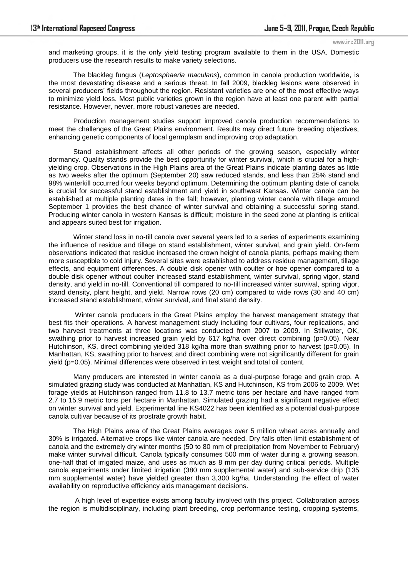```
www.irc2011.org
```
and marketing groups, it is the only yield testing program available to them in the USA. Domestic producers use the research results to make variety selections.

The blackleg fungus (*Leptosphaeria maculans*), common in canola production worldwide, is the most devastating disease and a serious threat. In fall 2009, blackleg lesions were observed in several producers' fields throughout the region. Resistant varieties are one of the most effective ways to minimize yield loss. Most public varieties grown in the region have at least one parent with partial resistance. However, newer, more robust varieties are needed.

Production management studies support improved canola production recommendations to meet the challenges of the Great Plains environment. Results may direct future breeding objectives, enhancing genetic components of local germplasm and improving crop adaptation.

Stand establishment affects all other periods of the growing season, especially winter dormancy. Quality stands provide the best opportunity for winter survival, which is crucial for a highyielding crop. Observations in the High Plains area of the Great Plains indicate planting dates as little as two weeks after the optimum (September 20) saw reduced stands, and less than 25% stand and 98% winterkill occurred four weeks beyond optimum. Determining the optimum planting date of canola is crucial for successful stand establishment and yield in southwest Kansas. Winter canola can be established at multiple planting dates in the fall; however, planting winter canola with tillage around September 1 provides the best chance of winter survival and obtaining a successful spring stand. Producing winter canola in western Kansas is difficult; moisture in the seed zone at planting is critical and appears suited best for irrigation.

Winter stand loss in no-till canola over several years led to a series of experiments examining the influence of residue and tillage on stand establishment, winter survival, and grain yield. On-farm observations indicated that residue increased the crown height of canola plants, perhaps making them more susceptible to cold injury. Several sites were established to address residue management, tillage effects, and equipment differences. A double disk opener with coulter or hoe opener compared to a double disk opener without coulter increased stand establishment, winter survival, spring vigor, stand density, and yield in no-till. Conventional till compared to no-till increased winter survival, spring vigor, stand density, plant height, and yield. Narrow rows (20 cm) compared to wide rows (30 and 40 cm) increased stand establishment, winter survival, and final stand density.

 Winter canola producers in the Great Plains employ the harvest management strategy that best fits their operations. A harvest management study including four cultivars, four replications, and two harvest treatments at three locations was conducted from 2007 to 2009. In Stillwater, OK, swathing prior to harvest increased grain yield by 617 kg/ha over direct combining (p=0.05). Near Hutchinson, KS, direct combining yielded 318 kg/ha more than swathing prior to harvest (p=0.05). In Manhattan, KS, swathing prior to harvest and direct combining were not significantly different for grain yield (p=0.05). Minimal differences were observed in test weight and total oil content.

Many producers are interested in winter canola as a dual-purpose forage and grain crop. A simulated grazing study was conducted at Manhattan, KS and Hutchinson, KS from 2006 to 2009. Wet forage yields at Hutchinson ranged from 11.8 to 13.7 metric tons per hectare and have ranged from 2.7 to 15.9 metric tons per hectare in Manhattan. Simulated grazing had a significant negative effect on winter survival and yield. Experimental line KS4022 has been identified as a potential dual-purpose canola cultivar because of its prostrate growth habit.

The High Plains area of the Great Plains averages over 5 million wheat acres annually and 30% is irrigated. Alternative crops like winter canola are needed. Dry falls often limit establishment of canola and the extremely dry winter months (50 to 80 mm of precipitation from November to February) make winter survival difficult. Canola typically consumes 500 mm of water during a growing season, one-half that of irrigated maize, and uses as much as 8 mm per day during critical periods. Multiple canola experiments under limited irrigation (380 mm supplemental water) and sub-service drip (135 mm supplemental water) have yielded greater than 3,300 kg/ha. Understanding the effect of water availability on reproductive efficiency aids management decisions.

 A high level of expertise exists among faculty involved with this project. Collaboration across the region is multidisciplinary, including plant breeding, crop performance testing, cropping systems,